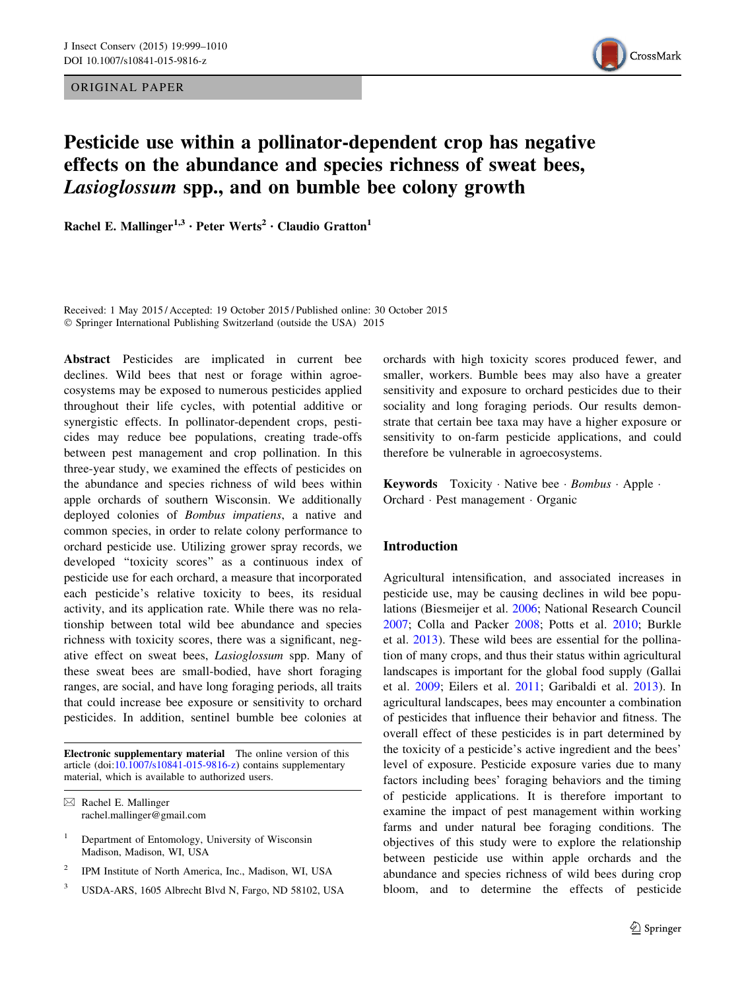ORIGINAL PAPER



# Pesticide use within a pollinator-dependent crop has negative effects on the abundance and species richness of sweat bees, Lasioglossum spp., and on bumble bee colony growth

Rachel E. Mallinger<sup>1,3</sup> · Peter Werts<sup>2</sup> · Claudio Gratton<sup>1</sup>

Received: 1 May 2015 / Accepted: 19 October 2015 / Published online: 30 October 2015 - Springer International Publishing Switzerland (outside the USA) 2015

Abstract Pesticides are implicated in current bee declines. Wild bees that nest or forage within agroecosystems may be exposed to numerous pesticides applied throughout their life cycles, with potential additive or synergistic effects. In pollinator-dependent crops, pesticides may reduce bee populations, creating trade-offs between pest management and crop pollination. In this three-year study, we examined the effects of pesticides on the abundance and species richness of wild bees within apple orchards of southern Wisconsin. We additionally deployed colonies of Bombus impatiens, a native and common species, in order to relate colony performance to orchard pesticide use. Utilizing grower spray records, we developed ''toxicity scores'' as a continuous index of pesticide use for each orchard, a measure that incorporated each pesticide's relative toxicity to bees, its residual activity, and its application rate. While there was no relationship between total wild bee abundance and species richness with toxicity scores, there was a significant, negative effect on sweat bees, Lasioglossum spp. Many of these sweat bees are small-bodied, have short foraging ranges, are social, and have long foraging periods, all traits that could increase bee exposure or sensitivity to orchard pesticides. In addition, sentinel bumble bee colonies at

Electronic supplementary material The online version of this article (doi:[10.1007/s10841-015-9816-z](http://dx.doi.org/10.1007/s10841-015-9816-z)) contains supplementary material, which is available to authorized users.

- <sup>2</sup> IPM Institute of North America, Inc., Madison, WI, USA
- <sup>3</sup> USDA-ARS, 1605 Albrecht Blvd N, Fargo, ND 58102, USA

orchards with high toxicity scores produced fewer, and smaller, workers. Bumble bees may also have a greater sensitivity and exposure to orchard pesticides due to their sociality and long foraging periods. Our results demonstrate that certain bee taxa may have a higher exposure or sensitivity to on-farm pesticide applications, and could therefore be vulnerable in agroecosystems.

Keywords Toxicity · Native bee · Bombus · Apple · Orchard · Pest management · Organic

# Introduction

Agricultural intensification, and associated increases in pesticide use, may be causing declines in wild bee populations (Biesmeijer et al. [2006](#page-10-0); National Research Council [2007](#page-10-0); Colla and Packer [2008](#page-10-0); Potts et al. [2010](#page-11-0); Burkle et al. [2013\)](#page-10-0). These wild bees are essential for the pollination of many crops, and thus their status within agricultural landscapes is important for the global food supply (Gallai et al. [2009;](#page-10-0) Eilers et al. [2011](#page-10-0); Garibaldi et al. [2013\)](#page-10-0). In agricultural landscapes, bees may encounter a combination of pesticides that influence their behavior and fitness. The overall effect of these pesticides is in part determined by the toxicity of a pesticide's active ingredient and the bees' level of exposure. Pesticide exposure varies due to many factors including bees' foraging behaviors and the timing of pesticide applications. It is therefore important to examine the impact of pest management within working farms and under natural bee foraging conditions. The objectives of this study were to explore the relationship between pesticide use within apple orchards and the abundance and species richness of wild bees during crop bloom, and to determine the effects of pesticide

 $\boxtimes$  Rachel E. Mallinger rachel.mallinger@gmail.com

Department of Entomology, University of Wisconsin Madison, Madison, WI, USA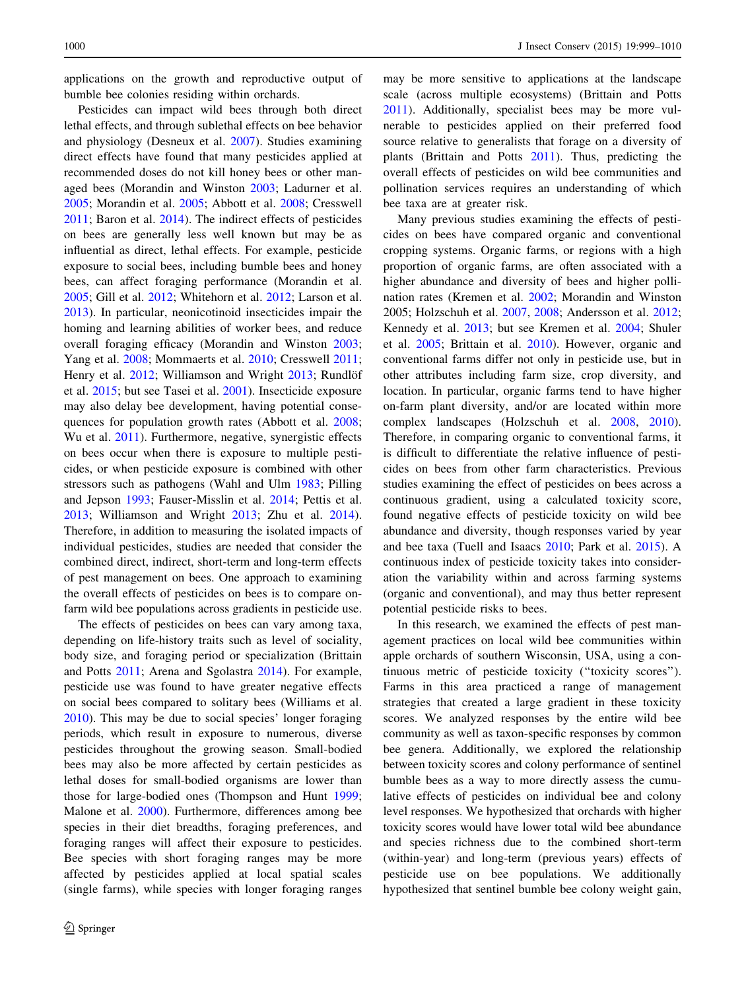applications on the growth and reproductive output of bumble bee colonies residing within orchards.

Pesticides can impact wild bees through both direct lethal effects, and through sublethal effects on bee behavior and physiology (Desneux et al. [2007](#page-10-0)). Studies examining direct effects have found that many pesticides applied at recommended doses do not kill honey bees or other managed bees (Morandin and Winston [2003;](#page-10-0) Ladurner et al. [2005;](#page-10-0) Morandin et al. [2005](#page-10-0); Abbott et al. [2008;](#page-9-0) Cresswell [2011;](#page-10-0) Baron et al. [2014](#page-10-0)). The indirect effects of pesticides on bees are generally less well known but may be as influential as direct, lethal effects. For example, pesticide exposure to social bees, including bumble bees and honey bees, can affect foraging performance (Morandin et al. [2005;](#page-10-0) Gill et al. [2012](#page-10-0); Whitehorn et al. [2012;](#page-11-0) Larson et al. [2013\)](#page-10-0). In particular, neonicotinoid insecticides impair the homing and learning abilities of worker bees, and reduce overall foraging efficacy (Morandin and Winston [2003](#page-10-0); Yang et al. [2008](#page-11-0); Mommaerts et al. [2010](#page-10-0); Cresswell [2011](#page-10-0); Henry et al. [2012;](#page-10-0) Williamson and Wright [2013](#page-11-0); Rundlöf et al. [2015;](#page-11-0) but see Tasei et al. [2001](#page-11-0)). Insecticide exposure may also delay bee development, having potential consequences for population growth rates (Abbott et al. [2008](#page-9-0); Wu et al. [2011\)](#page-11-0). Furthermore, negative, synergistic effects on bees occur when there is exposure to multiple pesticides, or when pesticide exposure is combined with other stressors such as pathogens (Wahl and Ulm [1983;](#page-11-0) Pilling and Jepson [1993](#page-11-0); Fauser-Misslin et al. [2014](#page-10-0); Pettis et al. [2013;](#page-11-0) Williamson and Wright [2013](#page-11-0); Zhu et al. [2014](#page-11-0)). Therefore, in addition to measuring the isolated impacts of individual pesticides, studies are needed that consider the combined direct, indirect, short-term and long-term effects of pest management on bees. One approach to examining the overall effects of pesticides on bees is to compare onfarm wild bee populations across gradients in pesticide use.

The effects of pesticides on bees can vary among taxa, depending on life-history traits such as level of sociality, body size, and foraging period or specialization (Brittain and Potts [2011;](#page-10-0) Arena and Sgolastra [2014\)](#page-10-0). For example, pesticide use was found to have greater negative effects on social bees compared to solitary bees (Williams et al. [2010\)](#page-11-0). This may be due to social species' longer foraging periods, which result in exposure to numerous, diverse pesticides throughout the growing season. Small-bodied bees may also be more affected by certain pesticides as lethal doses for small-bodied organisms are lower than those for large-bodied ones (Thompson and Hunt [1999](#page-11-0); Malone et al. [2000\)](#page-10-0). Furthermore, differences among bee species in their diet breadths, foraging preferences, and foraging ranges will affect their exposure to pesticides. Bee species with short foraging ranges may be more affected by pesticides applied at local spatial scales (single farms), while species with longer foraging ranges may be more sensitive to applications at the landscape scale (across multiple ecosystems) (Brittain and Potts [2011](#page-10-0)). Additionally, specialist bees may be more vulnerable to pesticides applied on their preferred food source relative to generalists that forage on a diversity of plants (Brittain and Potts [2011\)](#page-10-0). Thus, predicting the overall effects of pesticides on wild bee communities and pollination services requires an understanding of which bee taxa are at greater risk.

Many previous studies examining the effects of pesticides on bees have compared organic and conventional cropping systems. Organic farms, or regions with a high proportion of organic farms, are often associated with a higher abundance and diversity of bees and higher pollination rates (Kremen et al. [2002](#page-10-0); Morandin and Winston 2005; Holzschuh et al. [2007](#page-10-0), [2008;](#page-10-0) Andersson et al. [2012](#page-10-0); Kennedy et al. [2013;](#page-10-0) but see Kremen et al. [2004](#page-10-0); Shuler et al. [2005](#page-11-0); Brittain et al. [2010](#page-10-0)). However, organic and conventional farms differ not only in pesticide use, but in other attributes including farm size, crop diversity, and location. In particular, organic farms tend to have higher on-farm plant diversity, and/or are located within more complex landscapes (Holzschuh et al. [2008,](#page-10-0) [2010](#page-10-0)). Therefore, in comparing organic to conventional farms, it is difficult to differentiate the relative influence of pesticides on bees from other farm characteristics. Previous studies examining the effect of pesticides on bees across a continuous gradient, using a calculated toxicity score, found negative effects of pesticide toxicity on wild bee abundance and diversity, though responses varied by year and bee taxa (Tuell and Isaacs [2010;](#page-11-0) Park et al. [2015\)](#page-11-0). A continuous index of pesticide toxicity takes into consideration the variability within and across farming systems (organic and conventional), and may thus better represent potential pesticide risks to bees.

In this research, we examined the effects of pest management practices on local wild bee communities within apple orchards of southern Wisconsin, USA, using a continuous metric of pesticide toxicity (''toxicity scores''). Farms in this area practiced a range of management strategies that created a large gradient in these toxicity scores. We analyzed responses by the entire wild bee community as well as taxon-specific responses by common bee genera. Additionally, we explored the relationship between toxicity scores and colony performance of sentinel bumble bees as a way to more directly assess the cumulative effects of pesticides on individual bee and colony level responses. We hypothesized that orchards with higher toxicity scores would have lower total wild bee abundance and species richness due to the combined short-term (within-year) and long-term (previous years) effects of pesticide use on bee populations. We additionally hypothesized that sentinel bumble bee colony weight gain,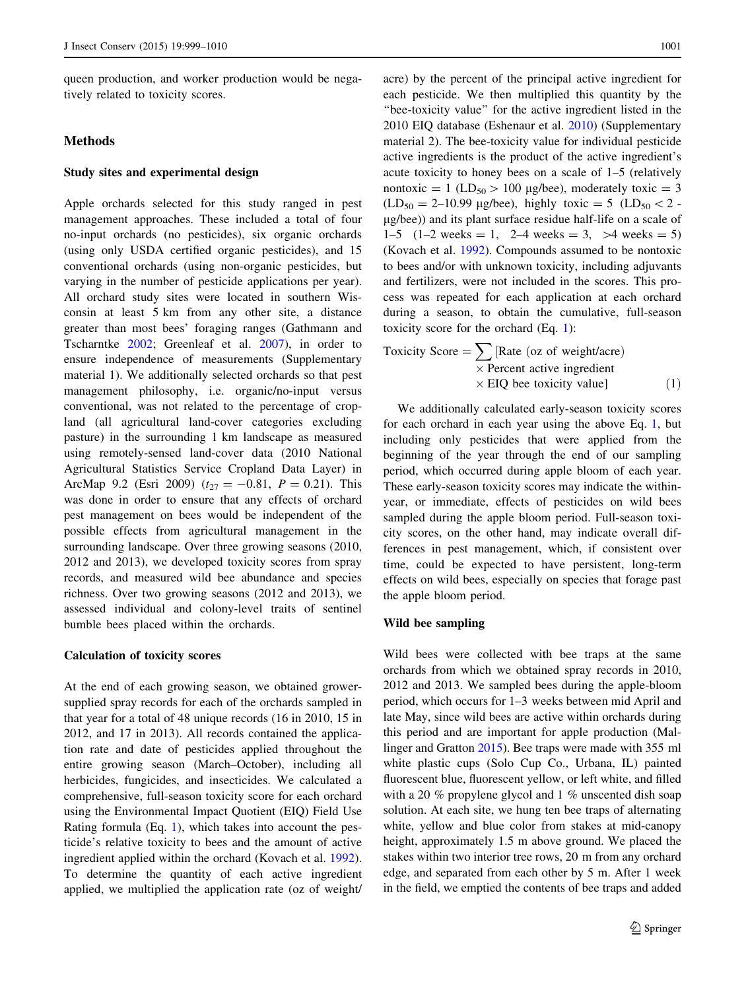queen production, and worker production would be negatively related to toxicity scores.

## Methods

## Study sites and experimental design

Apple orchards selected for this study ranged in pest management approaches. These included a total of four no-input orchards (no pesticides), six organic orchards (using only USDA certified organic pesticides), and 15 conventional orchards (using non-organic pesticides, but varying in the number of pesticide applications per year). All orchard study sites were located in southern Wisconsin at least 5 km from any other site, a distance greater than most bees' foraging ranges (Gathmann and Tscharntke [2002;](#page-10-0) Greenleaf et al. [2007](#page-10-0)), in order to ensure independence of measurements (Supplementary material 1). We additionally selected orchards so that pest management philosophy, i.e. organic/no-input versus conventional, was not related to the percentage of cropland (all agricultural land-cover categories excluding pasture) in the surrounding 1 km landscape as measured using remotely-sensed land-cover data (2010 National Agricultural Statistics Service Cropland Data Layer) in ArcMap 9.2 (Esri 2009) ( $t_{27} = -0.81$ ,  $P = 0.21$ ). This was done in order to ensure that any effects of orchard pest management on bees would be independent of the possible effects from agricultural management in the surrounding landscape. Over three growing seasons (2010, 2012 and 2013), we developed toxicity scores from spray records, and measured wild bee abundance and species richness. Over two growing seasons (2012 and 2013), we assessed individual and colony-level traits of sentinel bumble bees placed within the orchards.

## Calculation of toxicity scores

At the end of each growing season, we obtained growersupplied spray records for each of the orchards sampled in that year for a total of 48 unique records (16 in 2010, 15 in 2012, and 17 in 2013). All records contained the application rate and date of pesticides applied throughout the entire growing season (March–October), including all herbicides, fungicides, and insecticides. We calculated a comprehensive, full-season toxicity score for each orchard using the Environmental Impact Quotient (EIQ) Field Use Rating formula (Eq. 1), which takes into account the pesticide's relative toxicity to bees and the amount of active ingredient applied within the orchard (Kovach et al. [1992](#page-10-0)). To determine the quantity of each active ingredient applied, we multiplied the application rate (oz of weight/

acre) by the percent of the principal active ingredient for each pesticide. We then multiplied this quantity by the ''bee-toxicity value'' for the active ingredient listed in the 2010 EIQ database (Eshenaur et al. [2010\)](#page-10-0) (Supplementary material 2). The bee-toxicity value for individual pesticide active ingredients is the product of the active ingredient's acute toxicity to honey bees on a scale of 1–5 (relatively nontoxic = 1 (LD<sub>50</sub> > 100 µg/bee), moderately toxic = 3  $(LD_{50} = 2{\text -}10.99 \text{ µg/bee})$ , highly toxic = 5  $(LD_{50} < 2$  lg/bee)) and its plant surface residue half-life on a scale of 1–5  $(1-2 \text{ weeks} = 1, 2-4 \text{ weeks} = 3, >4 \text{ weeks} = 5)$ (Kovach et al. [1992](#page-10-0)). Compounds assumed to be nontoxic to bees and/or with unknown toxicity, including adjuvants and fertilizers, were not included in the scores. This process was repeated for each application at each orchard during a season, to obtain the cumulative, full-season toxicity score for the orchard (Eq. 1):

Toxicity Score = 
$$
\sum_{x} [\text{Rate (oz of weight/acre})
$$

\n $\times$  Percent active ingredient

\n $\times$  EIQ bee toxicity value]

\n(1)

We additionally calculated early-season toxicity scores for each orchard in each year using the above Eq. 1, but including only pesticides that were applied from the beginning of the year through the end of our sampling period, which occurred during apple bloom of each year. These early-season toxicity scores may indicate the withinyear, or immediate, effects of pesticides on wild bees sampled during the apple bloom period. Full-season toxicity scores, on the other hand, may indicate overall differences in pest management, which, if consistent over time, could be expected to have persistent, long-term effects on wild bees, especially on species that forage past the apple bloom period.

## Wild bee sampling

Wild bees were collected with bee traps at the same orchards from which we obtained spray records in 2010, 2012 and 2013. We sampled bees during the apple-bloom period, which occurs for 1–3 weeks between mid April and late May, since wild bees are active within orchards during this period and are important for apple production (Mallinger and Gratton [2015\)](#page-10-0). Bee traps were made with 355 ml white plastic cups (Solo Cup Co., Urbana, IL) painted fluorescent blue, fluorescent yellow, or left white, and filled with a 20 % propylene glycol and 1 % unscented dish soap solution. At each site, we hung ten bee traps of alternating white, yellow and blue color from stakes at mid-canopy height, approximately 1.5 m above ground. We placed the stakes within two interior tree rows, 20 m from any orchard edge, and separated from each other by 5 m. After 1 week in the field, we emptied the contents of bee traps and added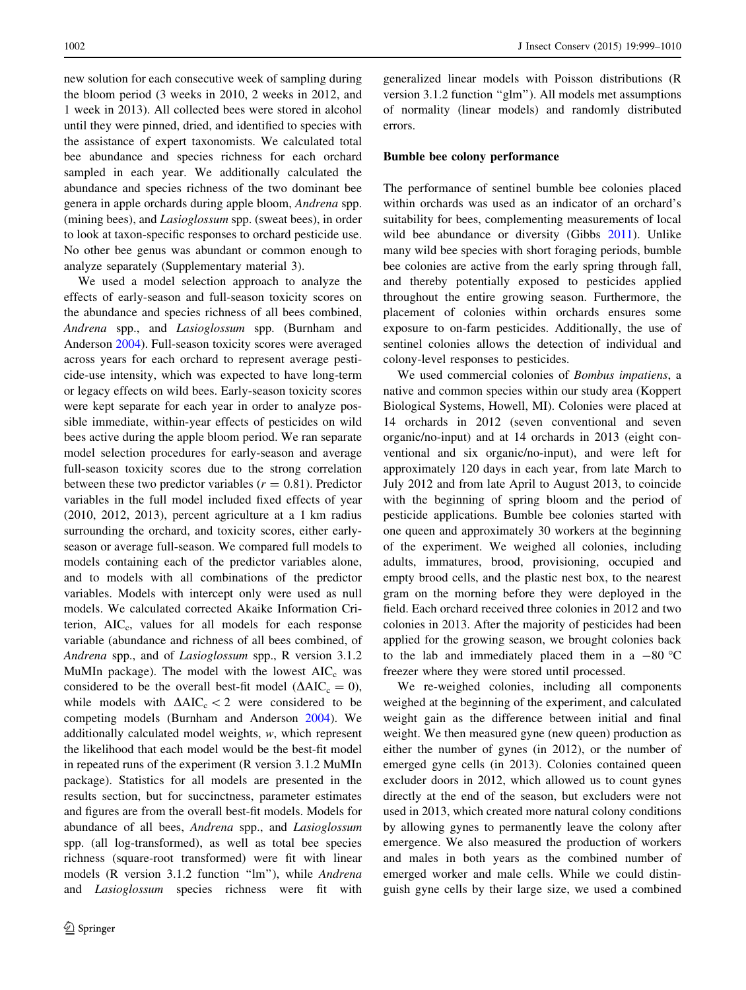new solution for each consecutive week of sampling during the bloom period (3 weeks in 2010, 2 weeks in 2012, and 1 week in 2013). All collected bees were stored in alcohol until they were pinned, dried, and identified to species with the assistance of expert taxonomists. We calculated total bee abundance and species richness for each orchard sampled in each year. We additionally calculated the abundance and species richness of the two dominant bee genera in apple orchards during apple bloom, Andrena spp. (mining bees), and Lasioglossum spp. (sweat bees), in order to look at taxon-specific responses to orchard pesticide use. No other bee genus was abundant or common enough to analyze separately (Supplementary material 3).

We used a model selection approach to analyze the effects of early-season and full-season toxicity scores on the abundance and species richness of all bees combined, Andrena spp., and Lasioglossum spp. (Burnham and Anderson [2004](#page-10-0)). Full-season toxicity scores were averaged across years for each orchard to represent average pesticide-use intensity, which was expected to have long-term or legacy effects on wild bees. Early-season toxicity scores were kept separate for each year in order to analyze possible immediate, within-year effects of pesticides on wild bees active during the apple bloom period. We ran separate model selection procedures for early-season and average full-season toxicity scores due to the strong correlation between these two predictor variables ( $r = 0.81$ ). Predictor variables in the full model included fixed effects of year (2010, 2012, 2013), percent agriculture at a 1 km radius surrounding the orchard, and toxicity scores, either earlyseason or average full-season. We compared full models to models containing each of the predictor variables alone, and to models with all combinations of the predictor variables. Models with intercept only were used as null models. We calculated corrected Akaike Information Criterion,  $AIC_c$ , values for all models for each response variable (abundance and richness of all bees combined, of Andrena spp., and of Lasioglossum spp., R version 3.1.2 MuMIn package). The model with the lowest  $AIC_c$  was considered to be the overall best-fit model ( $\Delta AIC_c = 0$ ), while models with  $\Delta AIC_c < 2$  were considered to be competing models (Burnham and Anderson [2004\)](#page-10-0). We additionally calculated model weights, w, which represent the likelihood that each model would be the best-fit model in repeated runs of the experiment (R version 3.1.2 MuMIn package). Statistics for all models are presented in the results section, but for succinctness, parameter estimates and figures are from the overall best-fit models. Models for abundance of all bees, Andrena spp., and Lasioglossum spp. (all log-transformed), as well as total bee species richness (square-root transformed) were fit with linear models (R version 3.1.2 function "lm"), while Andrena and Lasioglossum species richness were fit with generalized linear models with Poisson distributions (R version 3.1.2 function ''glm''). All models met assumptions of normality (linear models) and randomly distributed errors.

## Bumble bee colony performance

The performance of sentinel bumble bee colonies placed within orchards was used as an indicator of an orchard's suitability for bees, complementing measurements of local wild bee abundance or diversity (Gibbs [2011](#page-10-0)). Unlike many wild bee species with short foraging periods, bumble bee colonies are active from the early spring through fall, and thereby potentially exposed to pesticides applied throughout the entire growing season. Furthermore, the placement of colonies within orchards ensures some exposure to on-farm pesticides. Additionally, the use of sentinel colonies allows the detection of individual and colony-level responses to pesticides.

We used commercial colonies of Bombus impatiens, a native and common species within our study area (Koppert Biological Systems, Howell, MI). Colonies were placed at 14 orchards in 2012 (seven conventional and seven organic/no-input) and at 14 orchards in 2013 (eight conventional and six organic/no-input), and were left for approximately 120 days in each year, from late March to July 2012 and from late April to August 2013, to coincide with the beginning of spring bloom and the period of pesticide applications. Bumble bee colonies started with one queen and approximately 30 workers at the beginning of the experiment. We weighed all colonies, including adults, immatures, brood, provisioning, occupied and empty brood cells, and the plastic nest box, to the nearest gram on the morning before they were deployed in the field. Each orchard received three colonies in 2012 and two colonies in 2013. After the majority of pesticides had been applied for the growing season, we brought colonies back to the lab and immediately placed them in a  $-80^{\circ}$ C freezer where they were stored until processed.

We re-weighed colonies, including all components weighed at the beginning of the experiment, and calculated weight gain as the difference between initial and final weight. We then measured gyne (new queen) production as either the number of gynes (in 2012), or the number of emerged gyne cells (in 2013). Colonies contained queen excluder doors in 2012, which allowed us to count gynes directly at the end of the season, but excluders were not used in 2013, which created more natural colony conditions by allowing gynes to permanently leave the colony after emergence. We also measured the production of workers and males in both years as the combined number of emerged worker and male cells. While we could distinguish gyne cells by their large size, we used a combined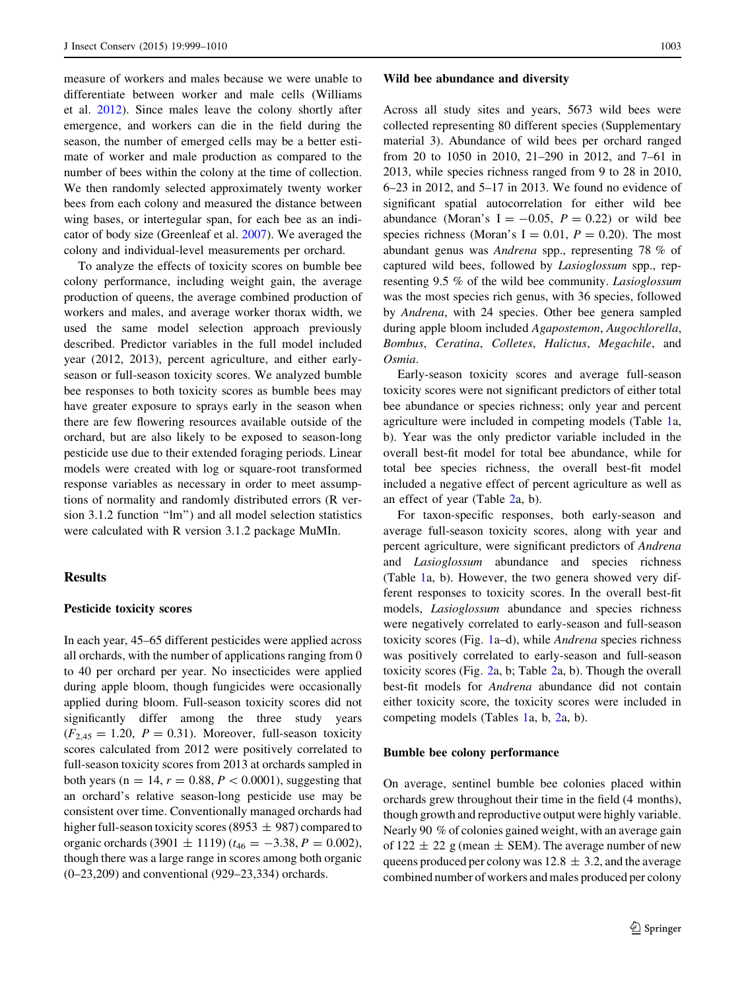measure of workers and males because we were unable to differentiate between worker and male cells (Williams et al. [2012\)](#page-11-0). Since males leave the colony shortly after emergence, and workers can die in the field during the season, the number of emerged cells may be a better estimate of worker and male production as compared to the number of bees within the colony at the time of collection. We then randomly selected approximately twenty worker bees from each colony and measured the distance between wing bases, or intertegular span, for each bee as an indicator of body size (Greenleaf et al. [2007](#page-10-0)). We averaged the colony and individual-level measurements per orchard.

To analyze the effects of toxicity scores on bumble bee colony performance, including weight gain, the average production of queens, the average combined production of workers and males, and average worker thorax width, we used the same model selection approach previously described. Predictor variables in the full model included year (2012, 2013), percent agriculture, and either earlyseason or full-season toxicity scores. We analyzed bumble bee responses to both toxicity scores as bumble bees may have greater exposure to sprays early in the season when there are few flowering resources available outside of the orchard, but are also likely to be exposed to season-long pesticide use due to their extended foraging periods. Linear models were created with log or square-root transformed response variables as necessary in order to meet assumptions of normality and randomly distributed errors (R version 3.1.2 function "lm") and all model selection statistics were calculated with R version 3.1.2 package MuMIn.

## Results

## Pesticide toxicity scores

In each year, 45–65 different pesticides were applied across all orchards, with the number of applications ranging from 0 to 40 per orchard per year. No insecticides were applied during apple bloom, though fungicides were occasionally applied during bloom. Full-season toxicity scores did not significantly differ among the three study years  $(F<sub>2.45</sub> = 1.20, P = 0.31)$ . Moreover, full-season toxicity scores calculated from 2012 were positively correlated to full-season toxicity scores from 2013 at orchards sampled in both years (n = 14,  $r = 0.88, P < 0.0001$ ), suggesting that an orchard's relative season-long pesticide use may be consistent over time. Conventionally managed orchards had higher full-season toxicity scores (8953  $\pm$  987) compared to organic orchards (3901  $\pm$  1119) ( $t_{46} = -3.38, P = 0.002$ ), though there was a large range in scores among both organic (0–23,209) and conventional (929–23,334) orchards.

#### Wild bee abundance and diversity

Across all study sites and years, 5673 wild bees were collected representing 80 different species (Supplementary material 3). Abundance of wild bees per orchard ranged from 20 to 1050 in 2010, 21–290 in 2012, and 7–61 in 2013, while species richness ranged from 9 to 28 in 2010, 6–23 in 2012, and 5–17 in 2013. We found no evidence of significant spatial autocorrelation for either wild bee abundance (Moran's  $I = -0.05$ ,  $P = 0.22$ ) or wild bee species richness (Moran's I = 0.01,  $P = 0.20$ ). The most abundant genus was Andrena spp., representing 78 % of captured wild bees, followed by Lasioglossum spp., representing 9.5 % of the wild bee community. Lasioglossum was the most species rich genus, with 36 species, followed by Andrena, with 24 species. Other bee genera sampled during apple bloom included Agapostemon, Augochlorella, Bombus, Ceratina, Colletes, Halictus, Megachile, and Osmia.

Early-season toxicity scores and average full-season toxicity scores were not significant predictors of either total bee abundance or species richness; only year and percent agriculture were included in competing models (Table [1](#page-5-0)a, b). Year was the only predictor variable included in the overall best-fit model for total bee abundance, while for total bee species richness, the overall best-fit model included a negative effect of percent agriculture as well as an effect of year (Table [2a](#page-5-0), b).

For taxon-specific responses, both early-season and average full-season toxicity scores, along with year and percent agriculture, were significant predictors of Andrena and Lasioglossum abundance and species richness (Table [1a](#page-5-0), b). However, the two genera showed very different responses to toxicity scores. In the overall best-fit models, Lasioglossum abundance and species richness were negatively correlated to early-season and full-season toxicity scores (Fig. [1a](#page-6-0)–d), while Andrena species richness was positively correlated to early-season and full-season toxicity scores (Fig. [2](#page-6-0)a, b; Table [2](#page-5-0)a, b). Though the overall best-fit models for Andrena abundance did not contain either toxicity score, the toxicity scores were included in competing models (Tables [1](#page-5-0)a, b, [2](#page-5-0)a, b).

## Bumble bee colony performance

On average, sentinel bumble bee colonies placed within orchards grew throughout their time in the field (4 months), though growth and reproductive output were highly variable. Nearly 90 % of colonies gained weight, with an average gain of  $122 \pm 22$  g (mean  $\pm$  SEM). The average number of new queens produced per colony was  $12.8 \pm 3.2$ , and the average combined number of workers and males produced per colony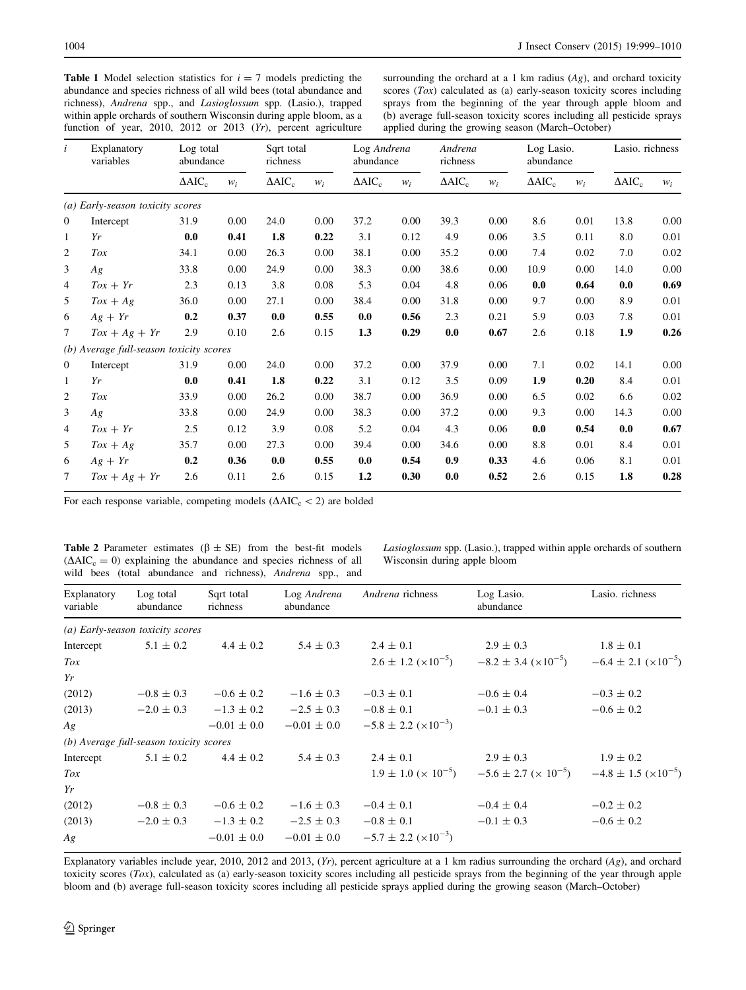<span id="page-5-0"></span>

| <b>Table 1</b> Model selection statistics for $i = 7$ models predicting the    |  |  |  |  |  |  |
|--------------------------------------------------------------------------------|--|--|--|--|--|--|
| abundance and species richness of all wild bees (total abundance and           |  |  |  |  |  |  |
| richness), <i>Andrena</i> spp., and <i>Lasioglossum</i> spp. (Lasio.), trapped |  |  |  |  |  |  |
| within apple orchards of southern Wisconsin during apple bloom, as a           |  |  |  |  |  |  |
| function of year, 2010, 2012 or 2013 $(Yr)$ , percent agriculture              |  |  |  |  |  |  |

surrounding the orchard at a 1 km radius  $(Ag)$ , and orchard toxicity scores (Tox) calculated as (a) early-season toxicity scores including sprays from the beginning of the year through apple bloom and (b) average full-season toxicity scores including all pesticide sprays applied during the growing season (March–October)

| $\dot{i}$      | Explanatory<br>variables                | Log total<br>abundance |       | Sqrt total<br>richness |       | Log Andrena<br>abundance |       | Andrena<br>richness |       | Log Lasio.<br>abundance |       | Lasio. richness   |       |
|----------------|-----------------------------------------|------------------------|-------|------------------------|-------|--------------------------|-------|---------------------|-------|-------------------------|-------|-------------------|-------|
|                |                                         | $\triangle AIC_c$      | $W_i$ | $\Delta AIC_c$         | $W_i$ | $\Delta AIC_c$           | $W_i$ | $\Delta AIC_c$      | $W_i$ | $\triangle AIC_c$       | $W_i$ | $\triangle AIC_c$ | $W_i$ |
|                | (a) Early-season toxicity scores        |                        |       |                        |       |                          |       |                     |       |                         |       |                   |       |
| $\overline{0}$ | Intercept                               | 31.9                   | 0.00  | 24.0                   | 0.00  | 37.2                     | 0.00  | 39.3                | 0.00  | 8.6                     | 0.01  | 13.8              | 0.00  |
| $\mathbf{1}$   | Yr                                      | 0.0                    | 0.41  | 1.8                    | 0.22  | 3.1                      | 0.12  | 4.9                 | 0.06  | 3.5                     | 0.11  | 8.0               | 0.01  |
| 2              | Tox                                     | 34.1                   | 0.00  | 26.3                   | 0.00  | 38.1                     | 0.00  | 35.2                | 0.00  | 7.4                     | 0.02  | 7.0               | 0.02  |
| 3              | Ag                                      | 33.8                   | 0.00  | 24.9                   | 0.00  | 38.3                     | 0.00  | 38.6                | 0.00  | 10.9                    | 0.00  | 14.0              | 0.00  |
| $\overline{4}$ | $Tox + Yr$                              | 2.3                    | 0.13  | 3.8                    | 0.08  | 5.3                      | 0.04  | 4.8                 | 0.06  | 0.0                     | 0.64  | 0.0               | 0.69  |
| 5              | $Tox + Ag$                              | 36.0                   | 0.00  | 27.1                   | 0.00  | 38.4                     | 0.00  | 31.8                | 0.00  | 9.7                     | 0.00  | 8.9               | 0.01  |
| 6              | $Ag + Yr$                               | 0.2                    | 0.37  | 0.0                    | 0.55  | 0.0                      | 0.56  | 2.3                 | 0.21  | 5.9                     | 0.03  | 7.8               | 0.01  |
| $\tau$         | $Tox + Ag + Yr$                         | 2.9                    | 0.10  | 2.6                    | 0.15  | 1.3                      | 0.29  | 0.0                 | 0.67  | 2.6                     | 0.18  | 1.9               | 0.26  |
|                | (b) Average full-season toxicity scores |                        |       |                        |       |                          |       |                     |       |                         |       |                   |       |
| $\overline{0}$ | Intercept                               | 31.9                   | 0.00  | 24.0                   | 0.00  | 37.2                     | 0.00  | 37.9                | 0.00  | 7.1                     | 0.02  | 14.1              | 0.00  |
| $\mathbf{1}$   | Yr                                      | 0.0                    | 0.41  | 1.8                    | 0.22  | 3.1                      | 0.12  | 3.5                 | 0.09  | 1.9                     | 0.20  | 8.4               | 0.01  |
| 2              | <b>Tox</b>                              | 33.9                   | 0.00  | 26.2                   | 0.00  | 38.7                     | 0.00  | 36.9                | 0.00  | 6.5                     | 0.02  | 6.6               | 0.02  |
| 3              | Ag                                      | 33.8                   | 0.00  | 24.9                   | 0.00  | 38.3                     | 0.00  | 37.2                | 0.00  | 9.3                     | 0.00  | 14.3              | 0.00  |
| $\overline{4}$ | $Tox + Yr$                              | 2.5                    | 0.12  | 3.9                    | 0.08  | 5.2                      | 0.04  | 4.3                 | 0.06  | 0.0                     | 0.54  | 0.0               | 0.67  |
| 5              | $Tox + Ag$                              | 35.7                   | 0.00  | 27.3                   | 0.00  | 39.4                     | 0.00  | 34.6                | 0.00  | 8.8                     | 0.01  | 8.4               | 0.01  |
| 6              | $Ag + Yr$                               | 0.2                    | 0.36  | 0.0                    | 0.55  | 0.0                      | 0.54  | 0.9                 | 0.33  | 4.6                     | 0.06  | 8.1               | 0.01  |
| 7              | $Tox + Ag + Yr$                         | 2.6                    | 0.11  | 2.6                    | 0.15  | 1.2                      | 0.30  | 0.0                 | 0.52  | 2.6                     | 0.15  | 1.8               | 0.28  |

For each response variable, competing models ( $\Delta AIC_c\lt2$ ) are bolded

Table 2 Parameter estimates ( $\beta \pm SE$ ) from the best-fit models  $(\Delta AIC_c = 0)$  explaining the abundance and species richness of all wild bees (total abundance and richness), Andrena spp., and Lasioglossum spp. (Lasio.), trapped within apple orchards of southern Wisconsin during apple bloom

| Explanatory<br>variable | Log total<br>abundance                  | Sqrt total<br>richness | Log Andrena<br>abundance | Andrena richness                  | Log Lasio.<br>abundance            | Lasio. richness                    |
|-------------------------|-----------------------------------------|------------------------|--------------------------|-----------------------------------|------------------------------------|------------------------------------|
|                         | (a) Early-season toxicity scores        |                        |                          |                                   |                                    |                                    |
| Intercept               | $5.1 \pm 0.2$                           | $4.4 \pm 0.2$          | $5.4 \pm 0.3$            | $2.4 \pm 0.1$                     | $2.9 \pm 0.3$                      | $1.8 \pm 0.1$                      |
| Tox                     |                                         |                        |                          | $2.6 \pm 1.2 \; (\times 10^{-5})$ | $-8.2 \pm 3.4 \; (\times 10^{-5})$ | $-6.4 \pm 2.1 \times 10^{-5}$ )    |
| Yr                      |                                         |                        |                          |                                   |                                    |                                    |
| (2012)                  | $-0.8 \pm 0.3$                          | $-0.6 \pm 0.2$         | $-1.6 \pm 0.3$           | $-0.3 \pm 0.1$                    | $-0.6 \pm 0.4$                     | $-0.3 \pm 0.2$                     |
| (2013)                  | $-2.0 \pm 0.3$                          | $-1.3 \pm 0.2$         | $-2.5 \pm 0.3$           | $-0.8 \pm 0.1$                    | $-0.1 \pm 0.3$                     | $-0.6 \pm 0.2$                     |
| Ag                      |                                         | $-0.01 \pm 0.0$        | $-0.01 \pm 0.0$          | $-5.8 \pm 2.2 \times 10^{-3}$     |                                    |                                    |
|                         | (b) Average full-season toxicity scores |                        |                          |                                   |                                    |                                    |
| Intercept               | $5.1 \pm 0.2$                           | $4.4 \pm 0.2$          | $5.4 \pm 0.3$            | $2.4 \pm 0.1$                     | $2.9 \pm 0.3$                      | $1.9 \pm 0.2$                      |
| Tox                     |                                         |                        |                          | $1.9 \pm 1.0 \times 10^{-5}$ )    | $-5.6 \pm 2.7 \times 10^{-5}$      | $-4.8 \pm 1.5 \; (\times 10^{-5})$ |
| Yr                      |                                         |                        |                          |                                   |                                    |                                    |
| (2012)                  | $-0.8 \pm 0.3$                          | $-0.6 \pm 0.2$         | $-1.6 \pm 0.3$           | $-0.4 \pm 0.1$                    | $-0.4 \pm 0.4$                     | $-0.2 \pm 0.2$                     |
| (2013)                  | $-2.0 \pm 0.3$                          | $-1.3 \pm 0.2$         | $-2.5 \pm 0.3$           | $-0.8 \pm 0.1$                    | $-0.1 \pm 0.3$                     | $-0.6 \pm 0.2$                     |
| Ag                      |                                         | $-0.01 \pm 0.0$        | $-0.01 \pm 0.0$          | $-5.7 \pm 2.2 \times 10^{-3}$     |                                    |                                    |

Explanatory variables include year, 2010, 2012 and 2013, (Yr), percent agriculture at a 1 km radius surrounding the orchard (Ag), and orchard toxicity scores ( $Tox$ ), calculated as (a) early-season toxicity scores including all pesticide sprays from the beginning of the year through apple bloom and (b) average full-season toxicity scores including all pesticide sprays applied during the growing season (March–October)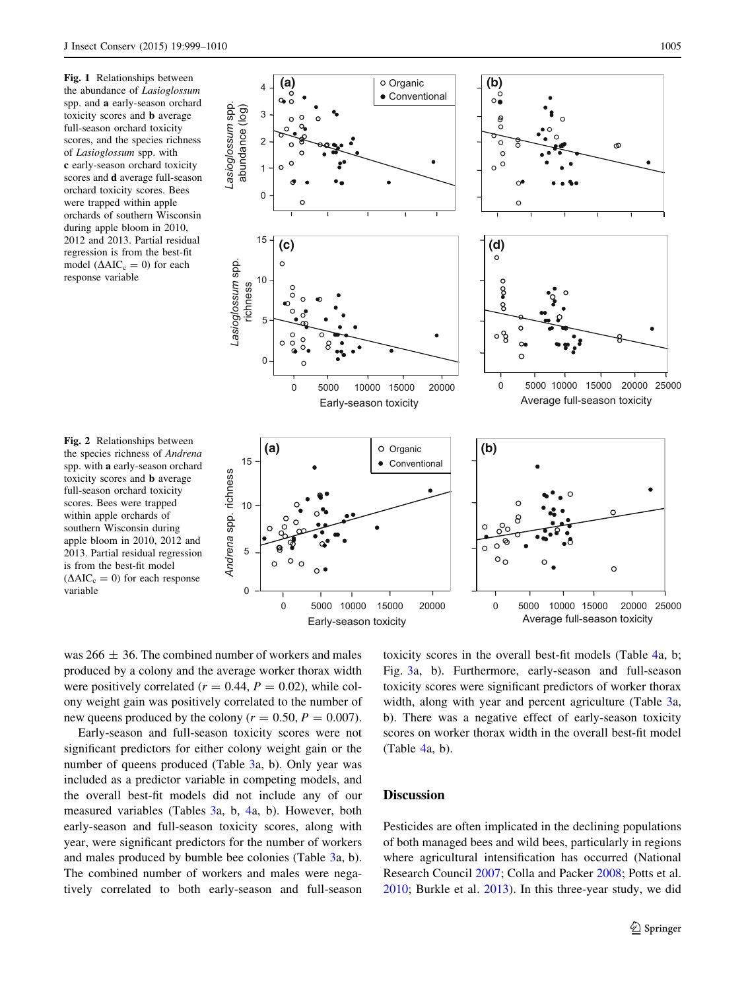Fig. 1 Relationships between the abundance of Lasioglossum spp. and a early-season orchard toxicity scores and b average full-season orchard toxicity scores, and the species richness of Lasioglossum spp. with c early-season orchard toxicity scores and d average full-season orchard toxicity scores. Bees were trapped within apple orchards of southern Wisconsin during apple bloom in 2010, 2012 and 2013. Partial residual regression is from the best-fit model ( $\Delta AIC_c = 0$ ) for each response variable

the species richness of Andrena spp. with a early-season orchard toxicity scores and b average full-season orchard toxicity scores. Bees were trapped within apple orchards of southern Wisconsin during apple bloom in 2010, 2012 and 2013. Partial residual regression is from the best-fit model  $(\Delta AIC_c = 0)$  for each response variable

<span id="page-6-0"></span>

was  $266 \pm 36$ . The combined number of workers and males produced by a colony and the average worker thorax width were positively correlated ( $r = 0.44$ ,  $P = 0.02$ ), while colony weight gain was positively correlated to the number of new queens produced by the colony ( $r = 0.50$ ,  $P = 0.007$ ).

Early-season and full-season toxicity scores were not significant predictors for either colony weight gain or the number of queens produced (Table [3a](#page-7-0), b). Only year was included as a predictor variable in competing models, and the overall best-fit models did not include any of our measured variables (Tables [3a](#page-7-0), b, [4](#page-7-0)a, b). However, both early-season and full-season toxicity scores, along with year, were significant predictors for the number of workers and males produced by bumble bee colonies (Table [3](#page-7-0)a, b). The combined number of workers and males were negatively correlated to both early-season and full-season toxicity scores in the overall best-fit models (Table [4a](#page-7-0), b; Fig. [3](#page-8-0)a, b). Furthermore, early-season and full-season toxicity scores were significant predictors of worker thorax width, along with year and percent agriculture (Table [3](#page-7-0)a, b). There was a negative effect of early-season toxicity scores on worker thorax width in the overall best-fit model (Table [4a](#page-7-0), b).

## **Discussion**

Pesticides are often implicated in the declining populations of both managed bees and wild bees, particularly in regions where agricultural intensification has occurred (National Research Council [2007;](#page-10-0) Colla and Packer [2008;](#page-10-0) Potts et al. [2010](#page-11-0); Burkle et al. [2013](#page-10-0)). In this three-year study, we did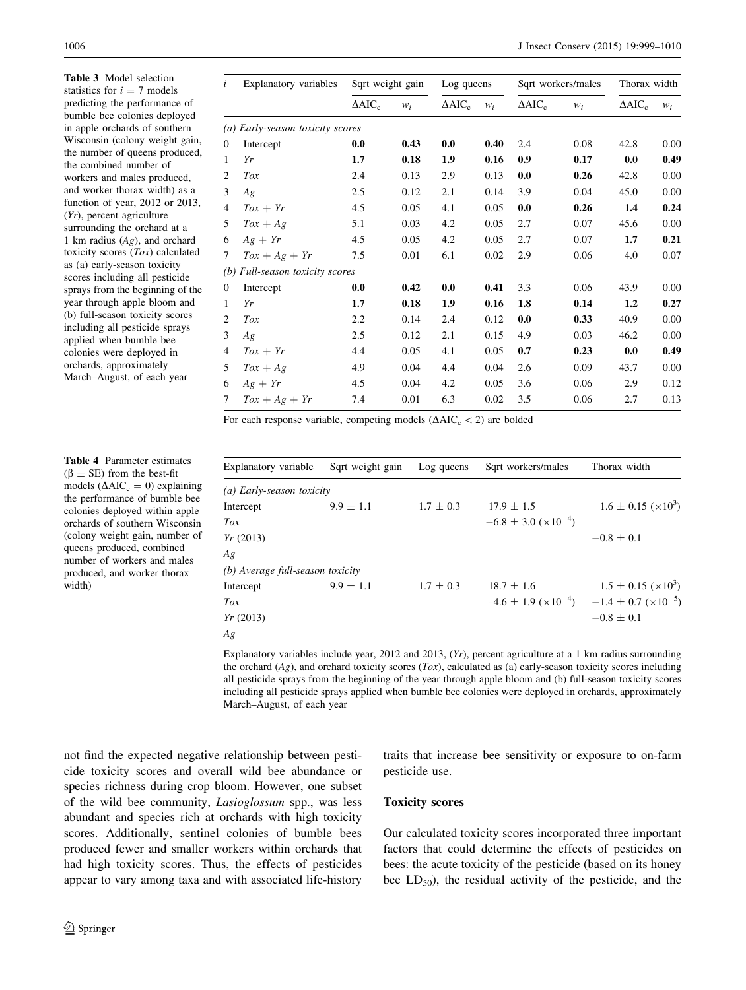<span id="page-7-0"></span>Table 3 Model selection statistics for  $i = 7$  models predicting the performance of bumble bee colonies deployed in apple orchards of southern Wisconsin (colony weight gain, the number of queens produced, the combined number of workers and males produced, and worker thorax width) as a function of year, 2012 or 2013, (Yr), percent agriculture surrounding the orchard at a 1 km radius  $(Ag)$ , and orchard toxicity scores (Tox) calculated as (a) early-season toxicity scores including all pesticide sprays from the beginning of the year through apple bloom and (b) full-season toxicity scores including all pesticide sprays applied when bumble bee colonies were deployed in orchards, approximately March–August, of each year

| i              | Explanatory variables        | Sqrt weight gain |       | Log queens     |       | Sqrt workers/males |       | Thorax width      |       |
|----------------|------------------------------|------------------|-------|----------------|-------|--------------------|-------|-------------------|-------|
|                |                              | $\Delta AIC_c$   | $W_i$ | $\Delta AIC_c$ | $W_i$ | $\triangle AIC_c$  | $W_i$ | $\triangle AIC_c$ | $W_i$ |
| (a)            | Early-season toxicity scores |                  |       |                |       |                    |       |                   |       |
| $\mathbf{0}$   | Intercept                    | 0.0              | 0.43  | 0.0            | 0.40  | 2.4                | 0.08  | 42.8              | 0.00  |
| 1              | Yr                           | 1.7              | 0.18  | 1.9            | 0.16  | 0.9                | 0.17  | 0.0               | 0.49  |
| 2              | Tox                          | 2.4              | 0.13  | 2.9            | 0.13  | 0.0                | 0.26  | 42.8              | 0.00  |
| 3              | Ag                           | 2.5              | 0.12  | 2.1            | 0.14  | 3.9                | 0.04  | 45.0              | 0.00  |
| $\overline{4}$ | $Tox + Yr$                   | 4.5              | 0.05  | 4.1            | 0.05  | 0.0                | 0.26  | 1.4               | 0.24  |
| 5              | $Tox + Ag$                   | 5.1              | 0.03  | 4.2            | 0.05  | 2.7                | 0.07  | 45.6              | 0.00  |
| 6              | $Ag + Yr$                    | 4.5              | 0.05  | 4.2            | 0.05  | 2.7                | 0.07  | 1.7               | 0.21  |
| 7              | $Tox + Ag + Yr$              | 7.5              | 0.01  | 6.1            | 0.02  | 2.9                | 0.06  | 4.0               | 0.07  |
| (b)            | Full-season toxicity scores  |                  |       |                |       |                    |       |                   |       |
| $\mathbf{0}$   | Intercept                    | 0.0              | 0.42  | 0.0            | 0.41  | 3.3                | 0.06  | 43.9              | 0.00  |
| 1              | Yr                           | 1.7              | 0.18  | 1.9            | 0.16  | 1.8                | 0.14  | 1.2               | 0.27  |
| 2              | Tox                          | 2.2              | 0.14  | 2.4            | 0.12  | 0.0                | 0.33  | 40.9              | 0.00  |
| 3              | Ag                           | 2.5              | 0.12  | 2.1            | 0.15  | 4.9                | 0.03  | 46.2              | 0.00  |
| $\overline{4}$ | $Tox + Yr$                   | 4.4              | 0.05  | 4.1            | 0.05  | 0.7                | 0.23  | 0.0               | 0.49  |
| 5              | $Tox + Ag$                   | 4.9              | 0.04  | 4.4            | 0.04  | 2.6                | 0.09  | 43.7              | 0.00  |
| 6              | $Ag + Yr$                    | 4.5              | 0.04  | 4.2            | 0.05  | 3.6                | 0.06  | 2.9               | 0.12  |
| 7              | $Tox + Ag + Yr$              | 7.4              | 0.01  | 6.3            | 0.02  | 3.5                | 0.06  | 2.7               | 0.13  |

For each response variable, competing models ( $\Delta AIC_c\lt2$ ) are bolded

| Explanatory variable             | Sqrt weight gain | Log queens    | Sqrt workers/males              | Thorax width                    |  |  |  |  |  |  |  |
|----------------------------------|------------------|---------------|---------------------------------|---------------------------------|--|--|--|--|--|--|--|
| (a) Early-season toxicity        |                  |               |                                 |                                 |  |  |  |  |  |  |  |
| Intercept                        | $9.9 \pm 1.1$    | $1.7 \pm 0.3$ | $17.9 \pm 1.5$                  | $1.6 \pm 0.15 \; (\times 10^3)$ |  |  |  |  |  |  |  |
| Tox                              |                  |               | $-6.8 \pm 3.0 \times 10^{-4}$ ) |                                 |  |  |  |  |  |  |  |
| Yr(2013)                         |                  |               |                                 | $-0.8 \pm 0.1$                  |  |  |  |  |  |  |  |
| Ag                               |                  |               |                                 |                                 |  |  |  |  |  |  |  |
| (b) Average full-season toxicity |                  |               |                                 |                                 |  |  |  |  |  |  |  |
| Intercept                        | $9.9 \pm 1.1$    | $1.7 \pm 0.3$ | $18.7 \pm 1.6$                  | $1.5 \pm 0.15 \; (\times 10^3)$ |  |  |  |  |  |  |  |
| Tox                              |                  |               | $-4.6 \pm 1.9 \times 10^{-4}$   | $-1.4 \pm 0.7 \times 10^{-5}$ ) |  |  |  |  |  |  |  |
| Yr(2013)                         |                  |               |                                 | $-0.8 \pm 0.1$                  |  |  |  |  |  |  |  |
| Ag                               |                  |               |                                 |                                 |  |  |  |  |  |  |  |

Explanatory variables include year, 2012 and 2013, (Yr), percent agriculture at a 1 km radius surrounding the orchard  $(Ag)$ , and orchard toxicity scores  $(Tox)$ , calculated as (a) early-season toxicity scores including all pesticide sprays from the beginning of the year through apple bloom and (b) full-season toxicity scores including all pesticide sprays applied when bumble bee colonies were deployed in orchards, approximately March–August, of each year

not find the expected negative relationship between pesticide toxicity scores and overall wild bee abundance or species richness during crop bloom. However, one subset of the wild bee community, Lasioglossum spp., was less abundant and species rich at orchards with high toxicity scores. Additionally, sentinel colonies of bumble bees produced fewer and smaller workers within orchards that had high toxicity scores. Thus, the effects of pesticides appear to vary among taxa and with associated life-history

traits that increase bee sensitivity or exposure to on-farm pesticide use.

## Toxicity scores

Our calculated toxicity scores incorporated three important factors that could determine the effects of pesticides on bees: the acute toxicity of the pesticide (based on its honey bee  $LD_{50}$ , the residual activity of the pesticide, and the

Table 4 Parameter estimates  $(\beta \pm SE)$  from the best-fit models ( $\Delta AIC_c = 0$ ) explaining the performance of bumble bee colonies deployed within apple orchards of southern Wisconsin (colony weight gain, number of queens produced, combined number of workers and males produced, and worker thorax width)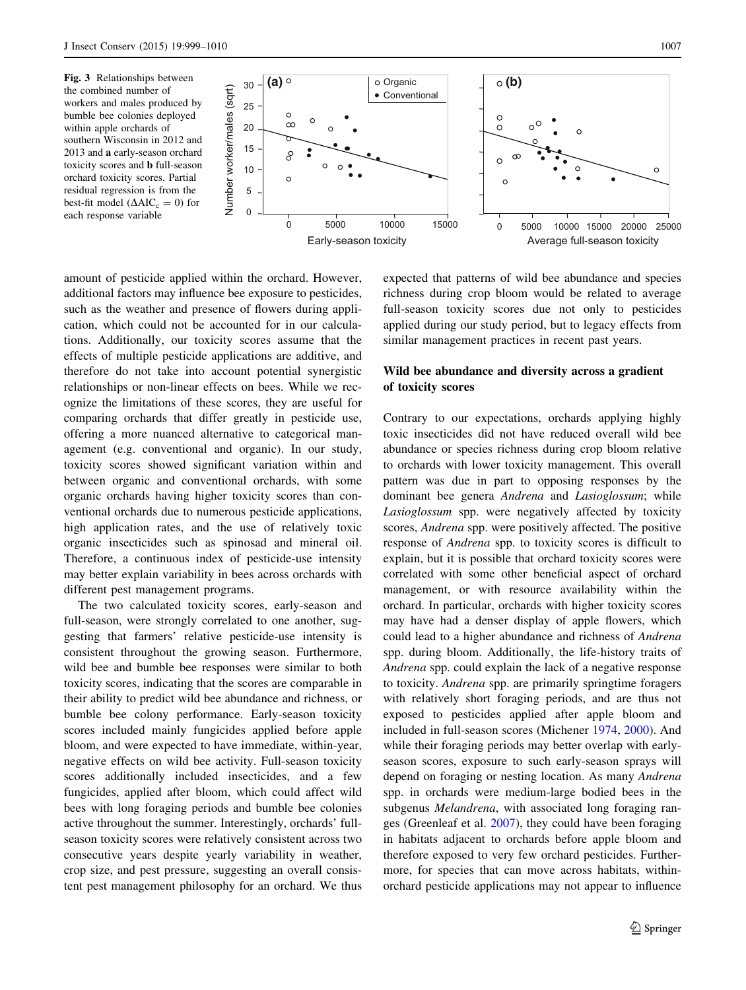

<span id="page-8-0"></span>

amount of pesticide applied within the orchard. However, additional factors may influence bee exposure to pesticides, such as the weather and presence of flowers during application, which could not be accounted for in our calculations. Additionally, our toxicity scores assume that the effects of multiple pesticide applications are additive, and therefore do not take into account potential synergistic relationships or non-linear effects on bees. While we recognize the limitations of these scores, they are useful for comparing orchards that differ greatly in pesticide use, offering a more nuanced alternative to categorical management (e.g. conventional and organic). In our study, toxicity scores showed significant variation within and between organic and conventional orchards, with some organic orchards having higher toxicity scores than conventional orchards due to numerous pesticide applications, high application rates, and the use of relatively toxic organic insecticides such as spinosad and mineral oil. Therefore, a continuous index of pesticide-use intensity may better explain variability in bees across orchards with different pest management programs.

The two calculated toxicity scores, early-season and full-season, were strongly correlated to one another, suggesting that farmers' relative pesticide-use intensity is consistent throughout the growing season. Furthermore, wild bee and bumble bee responses were similar to both toxicity scores, indicating that the scores are comparable in their ability to predict wild bee abundance and richness, or bumble bee colony performance. Early-season toxicity scores included mainly fungicides applied before apple bloom, and were expected to have immediate, within-year, negative effects on wild bee activity. Full-season toxicity scores additionally included insecticides, and a few fungicides, applied after bloom, which could affect wild bees with long foraging periods and bumble bee colonies active throughout the summer. Interestingly, orchards' fullseason toxicity scores were relatively consistent across two consecutive years despite yearly variability in weather, crop size, and pest pressure, suggesting an overall consistent pest management philosophy for an orchard. We thus

expected that patterns of wild bee abundance and species richness during crop bloom would be related to average full-season toxicity scores due not only to pesticides applied during our study period, but to legacy effects from similar management practices in recent past years.

# Wild bee abundance and diversity across a gradient of toxicity scores

Contrary to our expectations, orchards applying highly toxic insecticides did not have reduced overall wild bee abundance or species richness during crop bloom relative to orchards with lower toxicity management. This overall pattern was due in part to opposing responses by the dominant bee genera Andrena and Lasioglossum; while Lasioglossum spp. were negatively affected by toxicity scores, Andrena spp. were positively affected. The positive response of Andrena spp. to toxicity scores is difficult to explain, but it is possible that orchard toxicity scores were correlated with some other beneficial aspect of orchard management, or with resource availability within the orchard. In particular, orchards with higher toxicity scores may have had a denser display of apple flowers, which could lead to a higher abundance and richness of Andrena spp. during bloom. Additionally, the life-history traits of Andrena spp. could explain the lack of a negative response to toxicity. Andrena spp. are primarily springtime foragers with relatively short foraging periods, and are thus not exposed to pesticides applied after apple bloom and included in full-season scores (Michener [1974](#page-10-0), [2000](#page-10-0)). And while their foraging periods may better overlap with earlyseason scores, exposure to such early-season sprays will depend on foraging or nesting location. As many Andrena spp. in orchards were medium-large bodied bees in the subgenus *Melandrena*, with associated long foraging ranges (Greenleaf et al. [2007\)](#page-10-0), they could have been foraging in habitats adjacent to orchards before apple bloom and therefore exposed to very few orchard pesticides. Furthermore, for species that can move across habitats, withinorchard pesticide applications may not appear to influence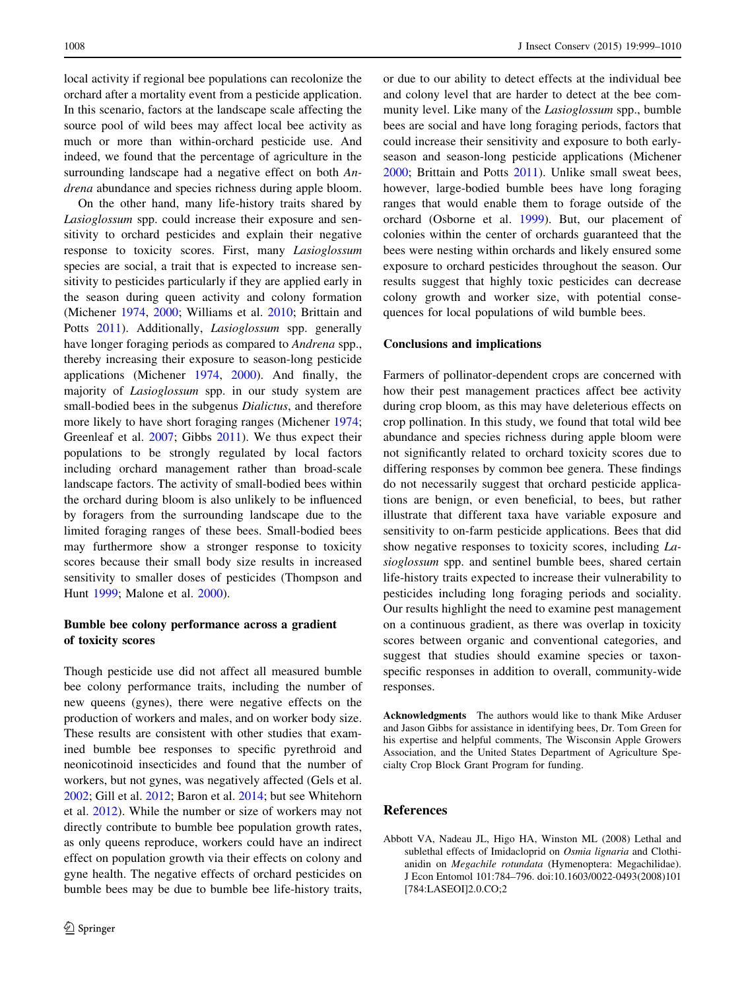<span id="page-9-0"></span>local activity if regional bee populations can recolonize the orchard after a mortality event from a pesticide application. In this scenario, factors at the landscape scale affecting the source pool of wild bees may affect local bee activity as much or more than within-orchard pesticide use. And indeed, we found that the percentage of agriculture in the surrounding landscape had a negative effect on both Andrena abundance and species richness during apple bloom.

On the other hand, many life-history traits shared by Lasioglossum spp. could increase their exposure and sensitivity to orchard pesticides and explain their negative response to toxicity scores. First, many Lasioglossum species are social, a trait that is expected to increase sensitivity to pesticides particularly if they are applied early in the season during queen activity and colony formation (Michener [1974](#page-10-0), [2000;](#page-10-0) Williams et al. [2010;](#page-11-0) Brittain and Potts [2011](#page-10-0)). Additionally, *Lasioglossum* spp. generally have longer foraging periods as compared to Andrena spp., thereby increasing their exposure to season-long pesticide applications (Michener [1974](#page-10-0), [2000\)](#page-10-0). And finally, the majority of Lasioglossum spp. in our study system are small-bodied bees in the subgenus *Dialictus*, and therefore more likely to have short foraging ranges (Michener [1974](#page-10-0); Greenleaf et al. [2007;](#page-10-0) Gibbs [2011](#page-10-0)). We thus expect their populations to be strongly regulated by local factors including orchard management rather than broad-scale landscape factors. The activity of small-bodied bees within the orchard during bloom is also unlikely to be influenced by foragers from the surrounding landscape due to the limited foraging ranges of these bees. Small-bodied bees may furthermore show a stronger response to toxicity scores because their small body size results in increased sensitivity to smaller doses of pesticides (Thompson and Hunt [1999](#page-11-0); Malone et al. [2000\)](#page-10-0).

# Bumble bee colony performance across a gradient of toxicity scores

Though pesticide use did not affect all measured bumble bee colony performance traits, including the number of new queens (gynes), there were negative effects on the production of workers and males, and on worker body size. These results are consistent with other studies that examined bumble bee responses to specific pyrethroid and neonicotinoid insecticides and found that the number of workers, but not gynes, was negatively affected (Gels et al. [2002;](#page-10-0) Gill et al. [2012](#page-10-0); Baron et al. [2014;](#page-10-0) but see Whitehorn et al. [2012](#page-11-0)). While the number or size of workers may not directly contribute to bumble bee population growth rates, as only queens reproduce, workers could have an indirect effect on population growth via their effects on colony and gyne health. The negative effects of orchard pesticides on bumble bees may be due to bumble bee life-history traits, or due to our ability to detect effects at the individual bee and colony level that are harder to detect at the bee community level. Like many of the Lasioglossum spp., bumble bees are social and have long foraging periods, factors that could increase their sensitivity and exposure to both earlyseason and season-long pesticide applications (Michener [2000](#page-10-0); Brittain and Potts [2011](#page-10-0)). Unlike small sweat bees, however, large-bodied bumble bees have long foraging ranges that would enable them to forage outside of the orchard (Osborne et al. [1999\)](#page-10-0). But, our placement of colonies within the center of orchards guaranteed that the bees were nesting within orchards and likely ensured some exposure to orchard pesticides throughout the season. Our results suggest that highly toxic pesticides can decrease colony growth and worker size, with potential consequences for local populations of wild bumble bees.

## Conclusions and implications

Farmers of pollinator-dependent crops are concerned with how their pest management practices affect bee activity during crop bloom, as this may have deleterious effects on crop pollination. In this study, we found that total wild bee abundance and species richness during apple bloom were not significantly related to orchard toxicity scores due to differing responses by common bee genera. These findings do not necessarily suggest that orchard pesticide applications are benign, or even beneficial, to bees, but rather illustrate that different taxa have variable exposure and sensitivity to on-farm pesticide applications. Bees that did show negative responses to toxicity scores, including Lasioglossum spp. and sentinel bumble bees, shared certain life-history traits expected to increase their vulnerability to pesticides including long foraging periods and sociality. Our results highlight the need to examine pest management on a continuous gradient, as there was overlap in toxicity scores between organic and conventional categories, and suggest that studies should examine species or taxonspecific responses in addition to overall, community-wide responses.

Acknowledgments The authors would like to thank Mike Arduser and Jason Gibbs for assistance in identifying bees, Dr. Tom Green for his expertise and helpful comments, The Wisconsin Apple Growers Association, and the United States Department of Agriculture Specialty Crop Block Grant Program for funding.

## References

Abbott VA, Nadeau JL, Higo HA, Winston ML (2008) Lethal and sublethal effects of Imidacloprid on Osmia lignaria and Clothianidin on Megachile rotundata (Hymenoptera: Megachilidae). J Econ Entomol 101:784–796. doi:10.1603/0022-0493(2008)101 [784:LASEOI]2.0.CO;2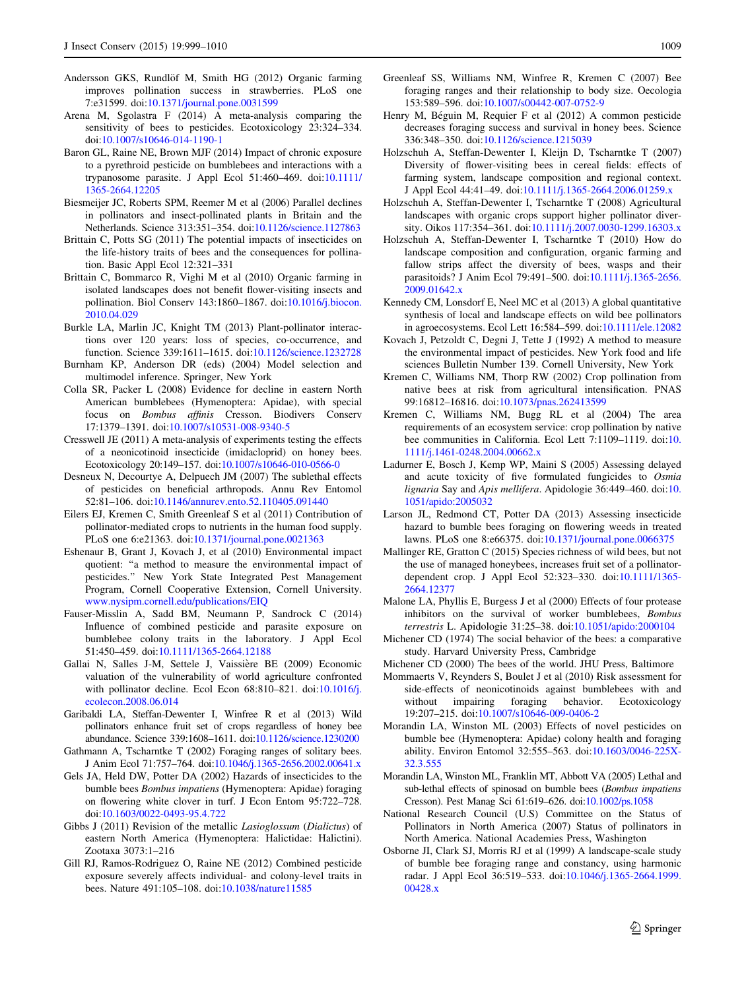- <span id="page-10-0"></span>Andersson GKS, Rundlöf M, Smith HG (2012) Organic farming improves pollination success in strawberries. PLoS one 7:e31599. doi:[10.1371/journal.pone.0031599](http://dx.doi.org/10.1371/journal.pone.0031599)
- Arena M, Sgolastra F (2014) A meta-analysis comparing the sensitivity of bees to pesticides. Ecotoxicology 23:324–334. doi[:10.1007/s10646-014-1190-1](http://dx.doi.org/10.1007/s10646-014-1190-1)
- Baron GL, Raine NE, Brown MJF (2014) Impact of chronic exposure to a pyrethroid pesticide on bumblebees and interactions with a trypanosome parasite. J Appl Ecol 51:460–469. doi[:10.1111/](http://dx.doi.org/10.1111/1365-2664.12205) [1365-2664.12205](http://dx.doi.org/10.1111/1365-2664.12205)
- Biesmeijer JC, Roberts SPM, Reemer M et al (2006) Parallel declines in pollinators and insect-pollinated plants in Britain and the Netherlands. Science 313:351–354. doi[:10.1126/science.1127863](http://dx.doi.org/10.1126/science.1127863)
- Brittain C, Potts SG (2011) The potential impacts of insecticides on the life-history traits of bees and the consequences for pollination. Basic Appl Ecol 12:321–331
- Brittain C, Bommarco R, Vighi M et al (2010) Organic farming in isolated landscapes does not benefit flower-visiting insects and pollination. Biol Conserv 143:1860–1867. doi[:10.1016/j.biocon.](http://dx.doi.org/10.1016/j.biocon.2010.04.029) [2010.04.029](http://dx.doi.org/10.1016/j.biocon.2010.04.029)
- Burkle LA, Marlin JC, Knight TM (2013) Plant-pollinator interactions over 120 years: loss of species, co-occurrence, and function. Science 339:1611–1615. doi:[10.1126/science.1232728](http://dx.doi.org/10.1126/science.1232728)
- Burnham KP, Anderson DR (eds) (2004) Model selection and multimodel inference. Springer, New York
- Colla SR, Packer L (2008) Evidence for decline in eastern North American bumblebees (Hymenoptera: Apidae), with special focus on Bombus affinis Cresson. Biodivers Conserv 17:1379–1391. doi[:10.1007/s10531-008-9340-5](http://dx.doi.org/10.1007/s10531-008-9340-5)
- Cresswell JE (2011) A meta-analysis of experiments testing the effects of a neonicotinoid insecticide (imidacloprid) on honey bees. Ecotoxicology 20:149–157. doi:[10.1007/s10646-010-0566-0](http://dx.doi.org/10.1007/s10646-010-0566-0)
- Desneux N, Decourtye A, Delpuech JM (2007) The sublethal effects of pesticides on beneficial arthropods. Annu Rev Entomol 52:81–106. doi[:10.1146/annurev.ento.52.110405.091440](http://dx.doi.org/10.1146/annurev.ento.52.110405.091440)
- Eilers EJ, Kremen C, Smith Greenleaf S et al (2011) Contribution of pollinator-mediated crops to nutrients in the human food supply. PLoS one 6:e21363. doi[:10.1371/journal.pone.0021363](http://dx.doi.org/10.1371/journal.pone.0021363)
- Eshenaur B, Grant J, Kovach J, et al (2010) Environmental impact quotient: ''a method to measure the environmental impact of pesticides.'' New York State Integrated Pest Management Program, Cornell Cooperative Extension, Cornell University. [www.nysipm.cornell.edu/publications/EIQ](http://www.nysipm.cornell.edu/publications/EIQ)
- Fauser-Misslin A, Sadd BM, Neumann P, Sandrock C (2014) Influence of combined pesticide and parasite exposure on bumblebee colony traits in the laboratory. J Appl Ecol 51:450–459. doi:[10.1111/1365-2664.12188](http://dx.doi.org/10.1111/1365-2664.12188)
- Gallai N, Salles J-M, Settele J, Vaissière BE (2009) Economic valuation of the vulnerability of world agriculture confronted with pollinator decline. Ecol Econ 68:810–821. doi:[10.1016/j.](http://dx.doi.org/10.1016/j.ecolecon.2008.06.014) [ecolecon.2008.06.014](http://dx.doi.org/10.1016/j.ecolecon.2008.06.014)
- Garibaldi LA, Steffan-Dewenter I, Winfree R et al (2013) Wild pollinators enhance fruit set of crops regardless of honey bee abundance. Science 339:1608–1611. doi[:10.1126/science.1230200](http://dx.doi.org/10.1126/science.1230200)
- Gathmann A, Tscharntke T (2002) Foraging ranges of solitary bees. J Anim Ecol 71:757–764. doi[:10.1046/j.1365-2656.2002.00641.x](http://dx.doi.org/10.1046/j.1365-2656.2002.00641.x)
- Gels JA, Held DW, Potter DA (2002) Hazards of insecticides to the bumble bees Bombus impatiens (Hymenoptera: Apidae) foraging on flowering white clover in turf. J Econ Entom 95:722–728. doi[:10.1603/0022-0493-95.4.722](http://dx.doi.org/10.1603/0022-0493-95.4.722)
- Gibbs J (2011) Revision of the metallic Lasioglossum (Dialictus) of eastern North America (Hymenoptera: Halictidae: Halictini). Zootaxa 3073:1–216
- Gill RJ, Ramos-Rodriguez O, Raine NE (2012) Combined pesticide exposure severely affects individual- and colony-level traits in bees. Nature 491:105–108. doi:[10.1038/nature11585](http://dx.doi.org/10.1038/nature11585)
- Greenleaf SS, Williams NM, Winfree R, Kremen C (2007) Bee foraging ranges and their relationship to body size. Oecologia 153:589–596. doi[:10.1007/s00442-007-0752-9](http://dx.doi.org/10.1007/s00442-007-0752-9)
- Henry M, Béguin M, Requier F et al (2012) A common pesticide decreases foraging success and survival in honey bees. Science 336:348–350. doi[:10.1126/science.1215039](http://dx.doi.org/10.1126/science.1215039)
- Holzschuh A, Steffan-Dewenter I, Kleijn D, Tscharntke T (2007) Diversity of flower-visiting bees in cereal fields: effects of farming system, landscape composition and regional context. J Appl Ecol 44:41–49. doi:[10.1111/j.1365-2664.2006.01259.x](http://dx.doi.org/10.1111/j.1365-2664.2006.01259.x)
- Holzschuh A, Steffan-Dewenter I, Tscharntke T (2008) Agricultural landscapes with organic crops support higher pollinator diversity. Oikos 117:354–361. doi[:10.1111/j.2007.0030-1299.16303.x](http://dx.doi.org/10.1111/j.2007.0030-1299.16303.x)
- Holzschuh A, Steffan-Dewenter I, Tscharntke T (2010) How do landscape composition and configuration, organic farming and fallow strips affect the diversity of bees, wasps and their parasitoids? J Anim Ecol 79:491–500. doi[:10.1111/j.1365-2656.](http://dx.doi.org/10.1111/j.1365-2656.2009.01642.x) [2009.01642.x](http://dx.doi.org/10.1111/j.1365-2656.2009.01642.x)
- Kennedy CM, Lonsdorf E, Neel MC et al (2013) A global quantitative synthesis of local and landscape effects on wild bee pollinators in agroecosystems. Ecol Lett 16:584–599. doi[:10.1111/ele.12082](http://dx.doi.org/10.1111/ele.12082)
- Kovach J, Petzoldt C, Degni J, Tette J (1992) A method to measure the environmental impact of pesticides. New York food and life sciences Bulletin Number 139. Cornell University, New York
- Kremen C, Williams NM, Thorp RW (2002) Crop pollination from native bees at risk from agricultural intensification. PNAS 99:16812–16816. doi:[10.1073/pnas.262413599](http://dx.doi.org/10.1073/pnas.262413599)
- Kremen C, Williams NM, Bugg RL et al (2004) The area requirements of an ecosystem service: crop pollination by native bee communities in California. Ecol Lett 7:1109–1119. doi:[10.](http://dx.doi.org/10.1111/j.1461-0248.2004.00662.x) [1111/j.1461-0248.2004.00662.x](http://dx.doi.org/10.1111/j.1461-0248.2004.00662.x)
- Ladurner E, Bosch J, Kemp WP, Maini S (2005) Assessing delayed and acute toxicity of five formulated fungicides to Osmia lignaria Say and Apis mellifera. Apidologie 36:449–460. doi:[10.](http://dx.doi.org/10.1051/apido:2005032) [1051/apido:2005032](http://dx.doi.org/10.1051/apido:2005032)
- Larson JL, Redmond CT, Potter DA (2013) Assessing insecticide hazard to bumble bees foraging on flowering weeds in treated lawns. PLoS one 8:e66375. doi[:10.1371/journal.pone.0066375](http://dx.doi.org/10.1371/journal.pone.0066375)
- Mallinger RE, Gratton C (2015) Species richness of wild bees, but not the use of managed honeybees, increases fruit set of a pollinatordependent crop. J Appl Ecol 52:323–330. doi:[10.1111/1365-](http://dx.doi.org/10.1111/1365-2664.12377) [2664.12377](http://dx.doi.org/10.1111/1365-2664.12377)
- Malone LA, Phyllis E, Burgess J et al (2000) Effects of four protease inhibitors on the survival of worker bumblebees, Bombus terrestris L. Apidologie 31:25–38. doi[:10.1051/apido:2000104](http://dx.doi.org/10.1051/apido:2000104)
- Michener CD (1974) The social behavior of the bees: a comparative study. Harvard University Press, Cambridge
- Michener CD (2000) The bees of the world. JHU Press, Baltimore
- Mommaerts V, Reynders S, Boulet J et al (2010) Risk assessment for side-effects of neonicotinoids against bumblebees with and without impairing foraging behavior. Ecotoxicology 19:207–215. doi:[10.1007/s10646-009-0406-2](http://dx.doi.org/10.1007/s10646-009-0406-2)
- Morandin LA, Winston ML (2003) Effects of novel pesticides on bumble bee (Hymenoptera: Apidae) colony health and foraging ability. Environ Entomol 32:555–563. doi:[10.1603/0046-225X-](http://dx.doi.org/10.1603/0046-225X-32.3.555)[32.3.555](http://dx.doi.org/10.1603/0046-225X-32.3.555)
- Morandin LA, Winston ML, Franklin MT, Abbott VA (2005) Lethal and sub-lethal effects of spinosad on bumble bees (Bombus impatiens Cresson). Pest Manag Sci 61:619–626. doi:[10.1002/ps.1058](http://dx.doi.org/10.1002/ps.1058)
- National Research Council (U.S) Committee on the Status of Pollinators in North America (2007) Status of pollinators in North America. National Academies Press, Washington
- Osborne JI, Clark SJ, Morris RJ et al (1999) A landscape-scale study of bumble bee foraging range and constancy, using harmonic radar. J Appl Ecol 36:519–533. doi:[10.1046/j.1365-2664.1999.](http://dx.doi.org/10.1046/j.1365-2664.1999.00428.x) [00428.x](http://dx.doi.org/10.1046/j.1365-2664.1999.00428.x)